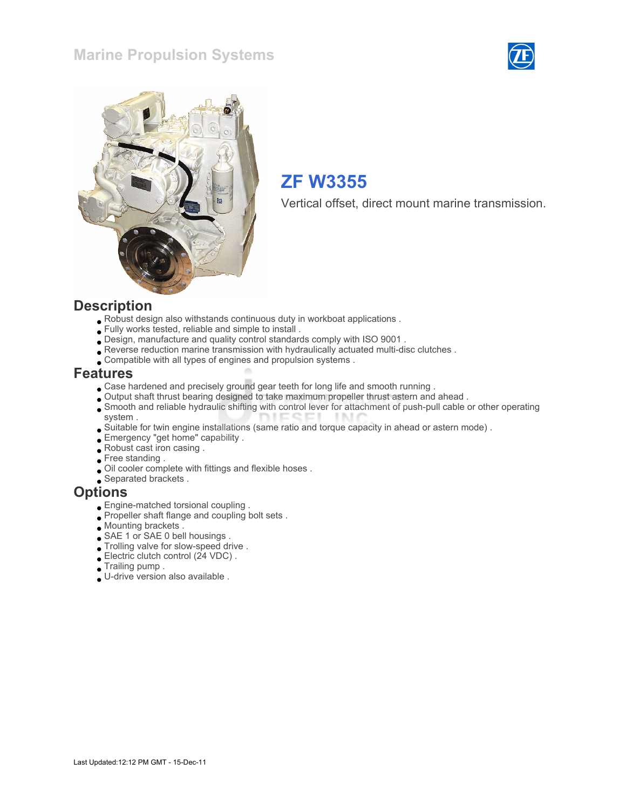### Marine Propulsion Systems





# ZF W3355

Vertical offset, direct mount marine transmission.

#### **Description**

- Robust design also withstands continuous duty in workboat applications .
- Fully works tested, reliable and simple to install .
- Design, manufacture and quality control standards comply with ISO 9001 .
- Reverse reduction marine transmission with hydraulically actuated multi-disc clutches .
- Compatible with all types of engines and propulsion systems .

#### Features

- Case hardened and precisely ground gear teeth for long life and smooth running .
- Output shaft thrust bearing designed to take maximum propeller thrust astern and ahead .
- Smooth and reliable hydraulic shifting with control lever for attachment of push-pull cable or other operating system .
- Suitable for twin engine installations (same ratio and torque capacity in ahead or astern mode) .
- Emergency "get home" capability .
- Robust cast iron casing .
- Free standing .
- Oil cooler complete with fittings and flexible hoses .
- Separated brackets .

#### **Options**

- Engine-matched torsional coupling .
- Propeller shaft flange and coupling bolt sets.
- Mounting brackets .
- SAE 1 or SAE 0 bell housings .
- Trolling valve for slow-speed drive .
- Electric clutch control (24 VDC) .
- Trailing pump .
- U-drive version also available .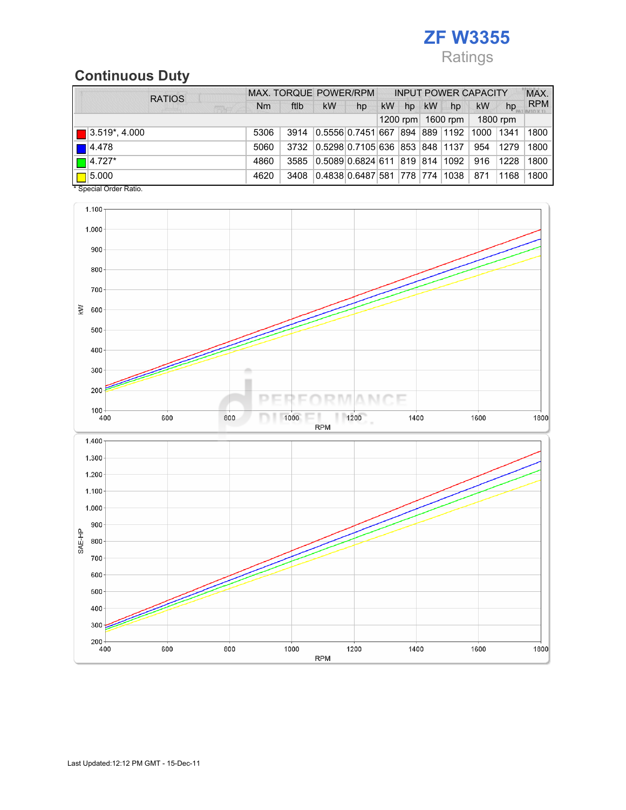# ZF W3355 Ratings

# Continuous Duty

| <b>RATIOS</b>                |      |      |                                              |    | MAX, TORQUE POWER/RPM INPUT POWER CAPACITY |    |    |                           |           |          | MAX.       |
|------------------------------|------|------|----------------------------------------------|----|--------------------------------------------|----|----|---------------------------|-----------|----------|------------|
| <b>CENT</b>                  | Nm   | ftlb | <b>kW</b>                                    | hp | kW                                         | hp | kW | hp                        | <b>kW</b> | hp       | <b>RPM</b> |
|                              |      |      |                                              |    |                                            |    |    | 1200 rpm $ $ 1600 rpm $ $ | 1800 rpm  |          |            |
| $\blacksquare$ 3.519*, 4.000 | 5306 | 3914 | 0.5556 0.7451 667 894 889 1192 1000 1341     |    |                                            |    |    |                           |           |          | 1800       |
| $\blacksquare$ 4.478         | 5060 |      | 3732 0.5298 0.7105 636 853 848 1137 954 1279 |    |                                            |    |    |                           |           |          | 1800       |
| $\Box$ 4.727*                | 4860 |      | 3585 0.5089 0.6824 611 819 814 1092          |    |                                            |    |    |                           |           | 916 1228 | 1800       |
| $\boxed{\Box}$ 5.000         | 4620 |      | 3408 0.4838 0.6487 581 778 774 1038 871      |    |                                            |    |    |                           |           | 1168     | ∣ 1800     |

\* Special Order Ratio.

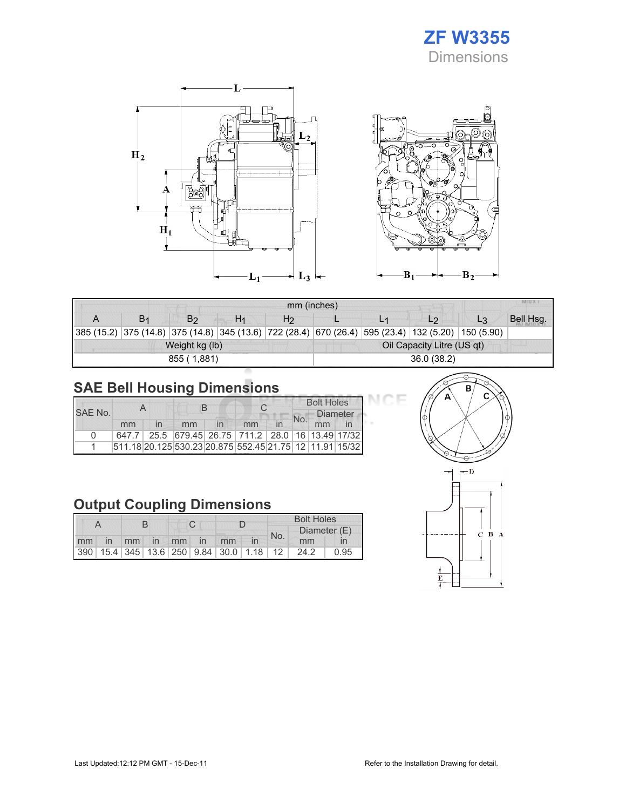





| <b>MILLY</b><br>mm (inches) |    |                |                |                |                            |  |                                                                                                                    |    |           |  |
|-----------------------------|----|----------------|----------------|----------------|----------------------------|--|--------------------------------------------------------------------------------------------------------------------|----|-----------|--|
|                             | B1 | B <sub>2</sub> | H <sub>1</sub> | H <sub>2</sub> |                            |  | L <sub>2</sub>                                                                                                     | L3 | Bell Hsg. |  |
|                             |    |                |                |                |                            |  | 385 (15.2)   375 (14.8)   375 (14.8)   345 (13.6)   722 (28.4)   670 (26.4)   595 (23.4)   132 (5.20)   150 (5.90) |    |           |  |
|                             |    | Weight kg (lb) |                |                | Oil Capacity Litre (US qt) |  |                                                                                                                    |    |           |  |
|                             |    | 855 (1,881)    |                |                | 36.0(38.2)                 |  |                                                                                                                    |    |           |  |

# SAE Bell Housing Dimensions

|         |    |  | B  |  |                                                         |  | <b>Bolt Holes</b> |                 |  |  |
|---------|----|--|----|--|---------------------------------------------------------|--|-------------------|-----------------|--|--|
| SAE No. |    |  |    |  |                                                         |  | No.               | <b>Diameter</b> |  |  |
|         | mm |  | mm |  | mm                                                      |  |                   | mm              |  |  |
| n       |    |  |    |  | 647.7 25.5 679.45 26.75 711.2 28.0 16 13.49 17/32       |  |                   |                 |  |  |
|         |    |  |    |  | 511.18 20.125 530.23 20.875 552.45 21.75 12 11.91 15/32 |  |                   |                 |  |  |

# Output Coupling Dimensions

|  |  |  |  |  |                      | <b>Bolt Holes</b> |     |                                              |      |  |
|--|--|--|--|--|----------------------|-------------------|-----|----------------------------------------------|------|--|
|  |  |  |  |  |                      |                   | No. | Diameter (E)                                 |      |  |
|  |  |  |  |  | mm in mm in mm in mm |                   |     | mm                                           |      |  |
|  |  |  |  |  |                      |                   |     | 390 15.4 345 13.6 250 9.84 30.0 1.18 12 24.2 | 0.95 |  |



эE